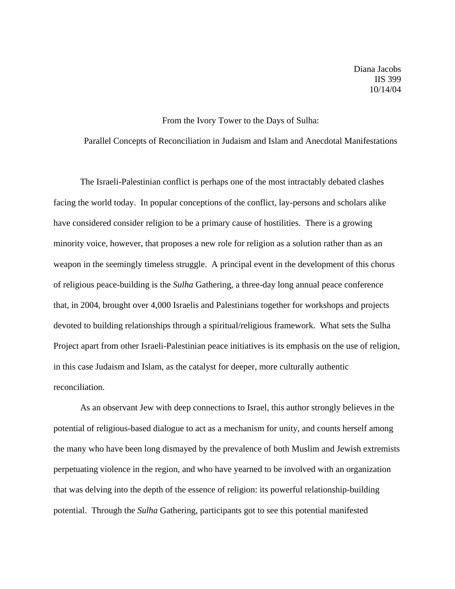Diana Jacobs IIS 399 10/14/04

## From the Ivory Tower to the Days of Sulha:

Parallel Concepts of Reconciliation in Judaism and Islam and Anecdotal Manifestations

The Israeli-Palestinian conflict is perhaps one of the most intractably debated clashes facing the world today. In popular conceptions of the conflict, lay-persons and scholars alike have considered consider religion to be a primary cause of hostilities. There is a growing minority voice, however, that proposes a new role for religion as a solution rather than as an weapon in the seemingly timeless struggle. A principal event in the development of this chorus of religious peace-building is the *Sulha* Gathering, a three-day long annual peace conference that, in 2004, brought over 4,000 Israelis and Palestinians together for workshops and projects devoted to building relationships through a spiritual/religious framework. What sets the Sulha Project apart from other Israeli-Palestinian peace initiatives is its emphasis on the use of religion, in this case Judaism and Islam, as the catalyst for deeper, more culturally authentic reconciliation.

As an observant Jew with deep connections to Israel, this author strongly believes in the potential of religious-based dialogue to act as a mechanism for unity, and counts herself among the many who have been long dismayed by the prevalence of both Muslim and Jewish extremists perpetuating violence in the region, and who have yearned to be involved with an organization that was delving into the depth of the essence of religion: its powerful relationship-building potential. Through the *Sulha* Gathering, participants got to see this potential manifested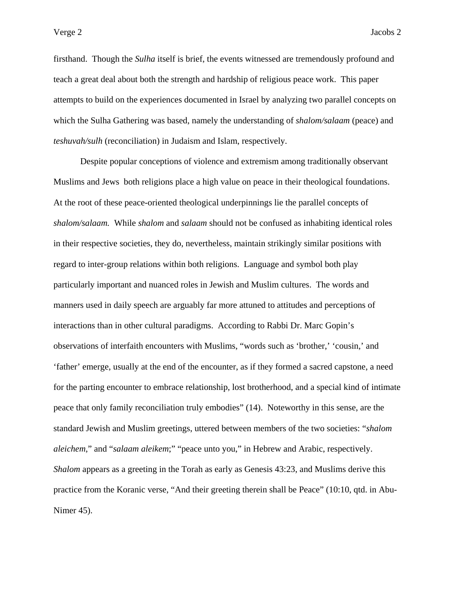firsthand. Though the *Sulha* itself is brief, the events witnessed are tremendously profound and teach a great deal about both the strength and hardship of religious peace work. This paper attempts to build on the experiences documented in Israel by analyzing two parallel concepts on which the Sulha Gathering was based, namely the understanding of *shalom/salaam* (peace) and *teshuvah/sulh* (reconciliation) in Judaism and Islam, respectively.

 Despite popular conceptions of violence and extremism among traditionally observant Muslims and Jews both religions place a high value on peace in their theological foundations. At the root of these peace-oriented theological underpinnings lie the parallel concepts of *shalom/salaam.* While *shalom* and *salaam* should not be confused as inhabiting identical roles in their respective societies, they do, nevertheless, maintain strikingly similar positions with regard to inter-group relations within both religions. Language and symbol both play particularly important and nuanced roles in Jewish and Muslim cultures. The words and manners used in daily speech are arguably far more attuned to attitudes and perceptions of interactions than in other cultural paradigms. According to Rabbi Dr. Marc Gopin's observations of interfaith encounters with Muslims, "words such as 'brother,' 'cousin,' and 'father' emerge, usually at the end of the encounter, as if they formed a sacred capstone, a need for the parting encounter to embrace relationship, lost brotherhood, and a special kind of intimate peace that only family reconciliation truly embodies" (14). Noteworthy in this sense, are the standard Jewish and Muslim greetings, uttered between members of the two societies: "*shalom aleichem*," and "*salaam aleikem*;" "peace unto you," in Hebrew and Arabic, respectively. *Shalom* appears as a greeting in the Torah as early as Genesis 43:23, and Muslims derive this practice from the Koranic verse, "And their greeting therein shall be Peace" (10:10, qtd. in Abu-Nimer 45).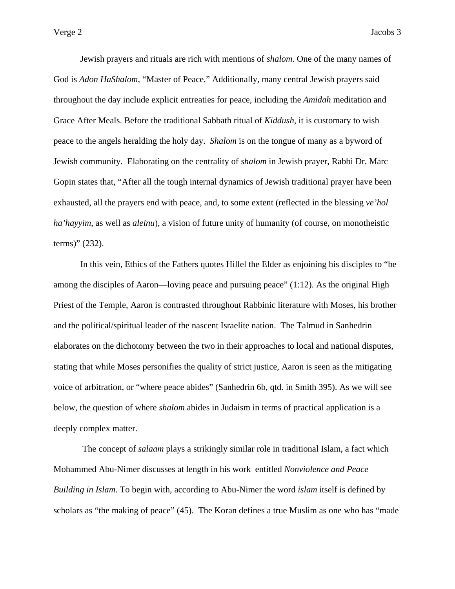Jewish prayers and rituals are rich with mentions of *shalom*. One of the many names of God is *Adon HaShalom*, "Master of Peace." Additionally, many central Jewish prayers said throughout the day include explicit entreaties for peace, including the *Amidah* meditation and Grace After Meals. Before the traditional Sabbath ritual of *Kiddush*, it is customary to wish peace to the angels heralding the holy day. *Shalom* is on the tongue of many as a byword of Jewish community. Elaborating on the centrality of *shalom* in Jewish prayer, Rabbi Dr. Marc Gopin states that, "After all the tough internal dynamics of Jewish traditional prayer have been exhausted, all the prayers end with peace, and, to some extent (reflected in the blessing *ve'hol ha'hayyim*, as well as *aleinu*), a vision of future unity of humanity (of course, on monotheistic terms)" (232).

 In this vein, Ethics of the Fathers quotes Hillel the Elder as enjoining his disciples to "be among the disciples of Aaron—loving peace and pursuing peace" (1:12). As the original High Priest of the Temple, Aaron is contrasted throughout Rabbinic literature with Moses, his brother and the political/spiritual leader of the nascent Israelite nation. The Talmud in Sanhedrin elaborates on the dichotomy between the two in their approaches to local and national disputes, stating that while Moses personifies the quality of strict justice, Aaron is seen as the mitigating voice of arbitration, or "where peace abides" (Sanhedrin 6b, qtd. in Smith 395). As we will see below, the question of where *shalom* abides in Judaism in terms of practical application is a deeply complex matter.

 The concept of *salaam* plays a strikingly similar role in traditional Islam, a fact which Mohammed Abu-Nimer discusses at length in his work entitled *Nonviolence and Peace Building in Islam*. To begin with, according to Abu-Nimer the word *islam* itself is defined by scholars as "the making of peace" (45). The Koran defines a true Muslim as one who has "made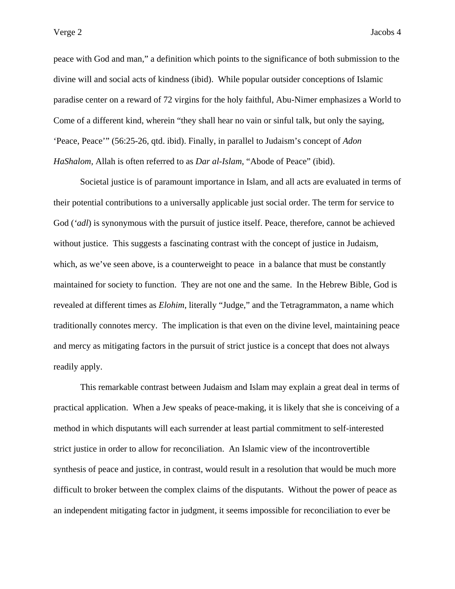peace with God and man," a definition which points to the significance of both submission to the divine will and social acts of kindness (ibid). While popular outsider conceptions of Islamic paradise center on a reward of 72 virgins for the holy faithful, Abu-Nimer emphasizes a World to Come of a different kind, wherein "they shall hear no vain or sinful talk, but only the saying, 'Peace, Peace'" (56:25-26, qtd. ibid). Finally, in parallel to Judaism's concept of *Adon HaShalom,* Allah is often referred to as *Dar al-Islam*, "Abode of Peace" (ibid).

 Societal justice is of paramount importance in Islam, and all acts are evaluated in terms of their potential contributions to a universally applicable just social order. The term for service to God (*'adl*) is synonymous with the pursuit of justice itself. Peace, therefore, cannot be achieved without justice. This suggests a fascinating contrast with the concept of justice in Judaism, which, as we've seen above, is a counterweight to peace in a balance that must be constantly maintained for society to function. They are not one and the same. In the Hebrew Bible, God is revealed at different times as *Elohim*, literally "Judge," and the Tetragrammaton, a name which traditionally connotes mercy. The implication is that even on the divine level, maintaining peace and mercy as mitigating factors in the pursuit of strict justice is a concept that does not always readily apply.

This remarkable contrast between Judaism and Islam may explain a great deal in terms of practical application. When a Jew speaks of peace-making, it is likely that she is conceiving of a method in which disputants will each surrender at least partial commitment to self-interested strict justice in order to allow for reconciliation. An Islamic view of the incontrovertible synthesis of peace and justice, in contrast, would result in a resolution that would be much more difficult to broker between the complex claims of the disputants. Without the power of peace as an independent mitigating factor in judgment, it seems impossible for reconciliation to ever be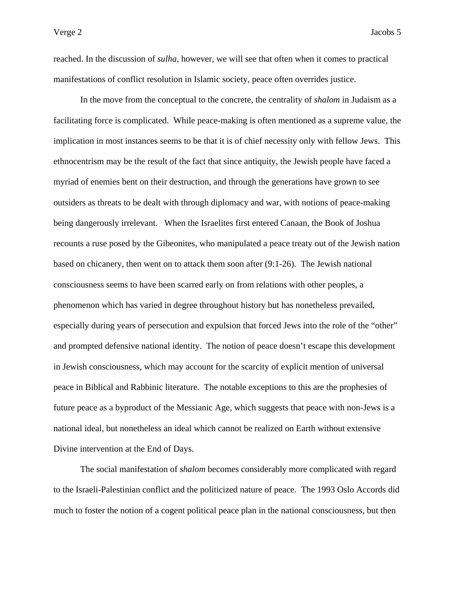reached. In the discussion of *sulha*, however, we will see that often when it comes to practical manifestations of conflict resolution in Islamic society, peace often overrides justice.

 In the move from the conceptual to the concrete, the centrality of *shalom* in Judaism as a facilitating force is complicated. While peace-making is often mentioned as a supreme value, the implication in most instances seems to be that it is of chief necessity only with fellow Jews. This ethnocentrism may be the result of the fact that since antiquity, the Jewish people have faced a myriad of enemies bent on their destruction, and through the generations have grown to see outsiders as threats to be dealt with through diplomacy and war, with notions of peace-making being dangerously irrelevant. When the Israelites first entered Canaan, the Book of Joshua recounts a ruse posed by the Gibeonites, who manipulated a peace treaty out of the Jewish nation based on chicanery, then went on to attack them soon after (9:1-26). The Jewish national consciousness seems to have been scarred early on from relations with other peoples, a phenomenon which has varied in degree throughout history but has nonetheless prevailed, especially during years of persecution and expulsion that forced Jews into the role of the "other" and prompted defensive national identity. The notion of peace doesn't escape this development in Jewish consciousness, which may account for the scarcity of explicit mention of universal peace in Biblical and Rabbinic literature. The notable exceptions to this are the prophesies of future peace as a byproduct of the Messianic Age, which suggests that peace with non-Jews is a national ideal, but nonetheless an ideal which cannot be realized on Earth without extensive Divine intervention at the End of Days.

 The social manifestation of *shalom* becomes considerably more complicated with regard to the Israeli-Palestinian conflict and the politicized nature of peace. The 1993 Oslo Accords did much to foster the notion of a cogent political peace plan in the national consciousness, but then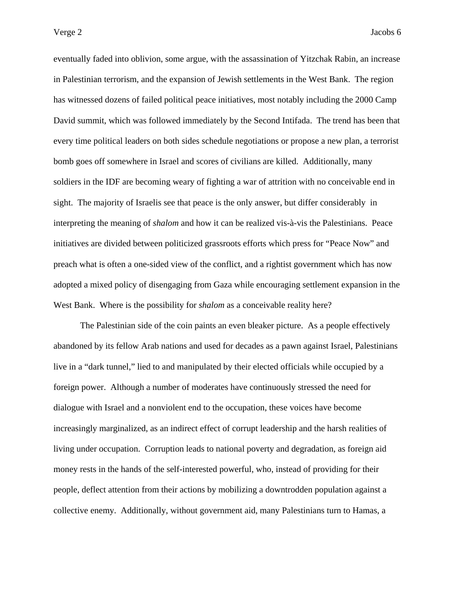eventually faded into oblivion, some argue, with the assassination of Yitzchak Rabin, an increase in Palestinian terrorism, and the expansion of Jewish settlements in the West Bank. The region has witnessed dozens of failed political peace initiatives, most notably including the 2000 Camp David summit, which was followed immediately by the Second Intifada. The trend has been that every time political leaders on both sides schedule negotiations or propose a new plan, a terrorist bomb goes off somewhere in Israel and scores of civilians are killed. Additionally, many soldiers in the IDF are becoming weary of fighting a war of attrition with no conceivable end in sight. The majority of Israelis see that peace is the only answer, but differ considerably in interpreting the meaning of *shalom* and how it can be realized vis-à-vis the Palestinians. Peace initiatives are divided between politicized grassroots efforts which press for "Peace Now" and preach what is often a one-sided view of the conflict, and a rightist government which has now adopted a mixed policy of disengaging from Gaza while encouraging settlement expansion in the West Bank. Where is the possibility for *shalom* as a conceivable reality here?

 The Palestinian side of the coin paints an even bleaker picture. As a people effectively abandoned by its fellow Arab nations and used for decades as a pawn against Israel, Palestinians live in a "dark tunnel," lied to and manipulated by their elected officials while occupied by a foreign power. Although a number of moderates have continuously stressed the need for dialogue with Israel and a nonviolent end to the occupation, these voices have become increasingly marginalized, as an indirect effect of corrupt leadership and the harsh realities of living under occupation. Corruption leads to national poverty and degradation, as foreign aid money rests in the hands of the self-interested powerful, who, instead of providing for their people, deflect attention from their actions by mobilizing a downtrodden population against a collective enemy. Additionally, without government aid, many Palestinians turn to Hamas, a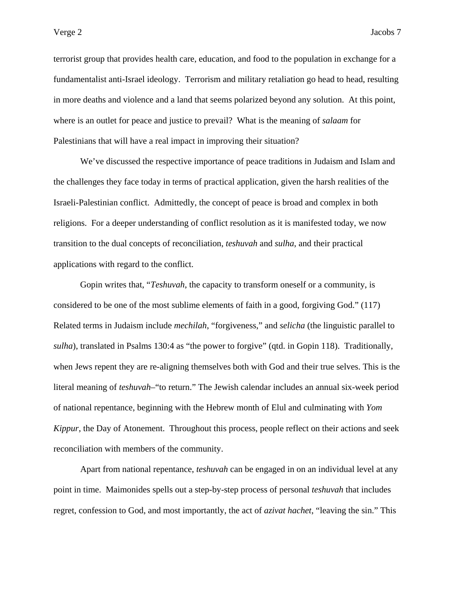terrorist group that provides health care, education, and food to the population in exchange for a fundamentalist anti-Israel ideology. Terrorism and military retaliation go head to head, resulting in more deaths and violence and a land that seems polarized beyond any solution. At this point, where is an outlet for peace and justice to prevail? What is the meaning of *salaam* for Palestinians that will have a real impact in improving their situation?

 We've discussed the respective importance of peace traditions in Judaism and Islam and the challenges they face today in terms of practical application, given the harsh realities of the Israeli-Palestinian conflict. Admittedly, the concept of peace is broad and complex in both religions. For a deeper understanding of conflict resolution as it is manifested today, we now transition to the dual concepts of reconciliation, *teshuvah* and *sulha*, and their practical applications with regard to the conflict.

 Gopin writes that, "*Teshuvah*, the capacity to transform oneself or a community, is considered to be one of the most sublime elements of faith in a good, forgiving God." (117) Related terms in Judaism include *mechilah*, "forgiveness," and *selicha* (the linguistic parallel to *sulha*), translated in Psalms 130:4 as "the power to forgive" (qtd. in Gopin 118). Traditionally, when Jews repent they are re-aligning themselves both with God and their true selves. This is the literal meaning of *teshuvah*–"to return." The Jewish calendar includes an annual six-week period of national repentance, beginning with the Hebrew month of Elul and culminating with *Yom Kippur*, the Day of Atonement. Throughout this process, people reflect on their actions and seek reconciliation with members of the community.

 Apart from national repentance, *teshuvah* can be engaged in on an individual level at any point in time. Maimonides spells out a step-by-step process of personal *teshuvah* that includes regret, confession to God, and most importantly, the act of *azivat hachet*, "leaving the sin." This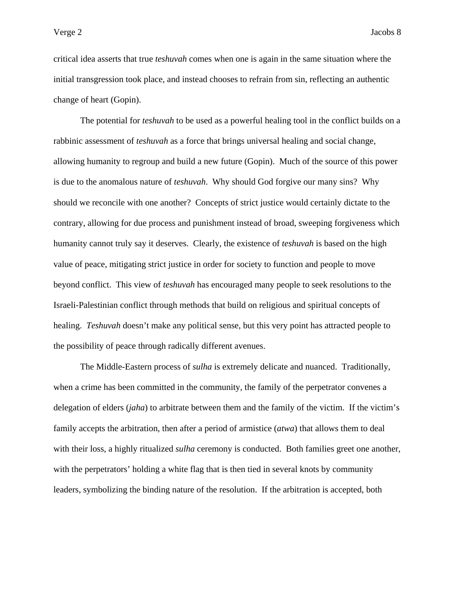critical idea asserts that true *teshuvah* comes when one is again in the same situation where the initial transgression took place, and instead chooses to refrain from sin, reflecting an authentic change of heart (Gopin).

 The potential for *teshuvah* to be used as a powerful healing tool in the conflict builds on a rabbinic assessment of *teshuvah* as a force that brings universal healing and social change, allowing humanity to regroup and build a new future (Gopin). Much of the source of this power is due to the anomalous nature of *teshuvah*. Why should God forgive our many sins? Why should we reconcile with one another? Concepts of strict justice would certainly dictate to the contrary, allowing for due process and punishment instead of broad, sweeping forgiveness which humanity cannot truly say it deserves. Clearly, the existence of *teshuvah* is based on the high value of peace, mitigating strict justice in order for society to function and people to move beyond conflict. This view of *teshuvah* has encouraged many people to seek resolutions to the Israeli-Palestinian conflict through methods that build on religious and spiritual concepts of healing. *Teshuvah* doesn't make any political sense, but this very point has attracted people to the possibility of peace through radically different avenues.

 The Middle-Eastern process of *sulha* is extremely delicate and nuanced. Traditionally, when a crime has been committed in the community, the family of the perpetrator convenes a delegation of elders (*jaha*) to arbitrate between them and the family of the victim. If the victim's family accepts the arbitration, then after a period of armistice (*atwa*) that allows them to deal with their loss, a highly ritualized *sulha* ceremony is conducted. Both families greet one another, with the perpetrators' holding a white flag that is then tied in several knots by community leaders, symbolizing the binding nature of the resolution. If the arbitration is accepted, both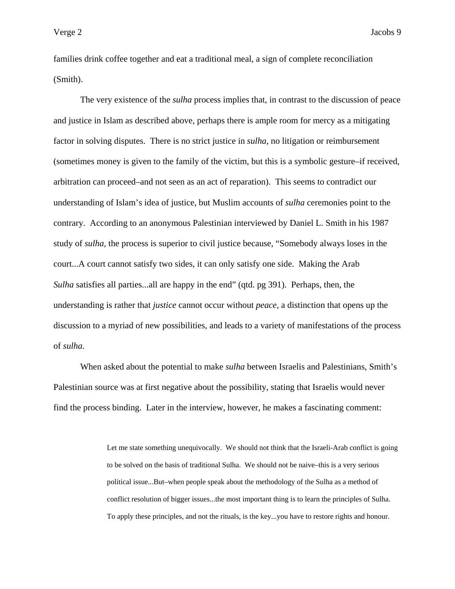families drink coffee together and eat a traditional meal, a sign of complete reconciliation (Smith).

 The very existence of the *sulha* process implies that, in contrast to the discussion of peace and justice in Islam as described above, perhaps there is ample room for mercy as a mitigating factor in solving disputes. There is no strict justice in *sulha*, no litigation or reimbursement (sometimes money is given to the family of the victim, but this is a symbolic gesture–if received, arbitration can proceed–and not seen as an act of reparation). This seems to contradict our understanding of Islam's idea of justice, but Muslim accounts of *sulha* ceremonies point to the contrary. According to an anonymous Palestinian interviewed by Daniel L. Smith in his 1987 study of *sulha,* the process is superior to civil justice because, "Somebody always loses in the court...A court cannot satisfy two sides, it can only satisfy one side. Making the Arab *Sulha* satisfies all parties...all are happy in the end" (qtd. pg 391). Perhaps, then, the understanding is rather that *justice* cannot occur without *peace,* a distinction that opens up the discussion to a myriad of new possibilities, and leads to a variety of manifestations of the process of *sulha*.

 When asked about the potential to make *sulha* between Israelis and Palestinians, Smith's Palestinian source was at first negative about the possibility, stating that Israelis would never find the process binding. Later in the interview, however, he makes a fascinating comment:

> Let me state something unequivocally. We should not think that the Israeli-Arab conflict is going to be solved on the basis of traditional Sulha. We should not be naive–this is a very serious political issue...But–when people speak about the methodology of the Sulha as a method of conflict resolution of bigger issues...the most important thing is to learn the principles of Sulha. To apply these principles, and not the rituals, is the key...you have to restore rights and honour.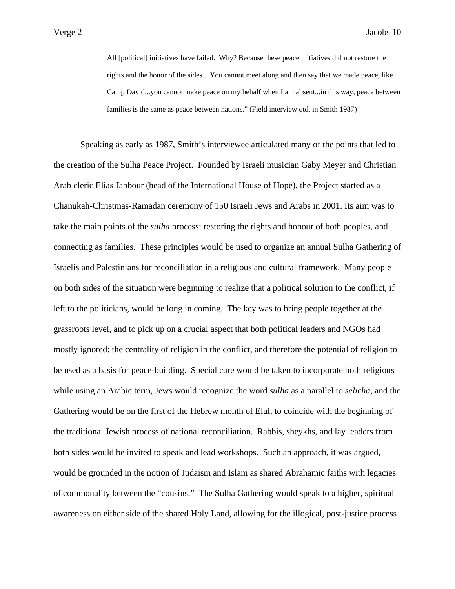All [political] initiatives have failed. Why? Because these peace initiatives did not restore the rights and the honor of the sides....You cannot meet along and then say that we made peace, like Camp David...you cannot make peace on my behalf when I am absent...in this way, peace between families is the same as peace between nations." (Field interview qtd. in Smith 1987)

 Speaking as early as 1987, Smith's interviewee articulated many of the points that led to the creation of the Sulha Peace Project. Founded by Israeli musician Gaby Meyer and Christian Arab cleric Elias Jabbour (head of the International House of Hope), the Project started as a Chanukah-Christmas-Ramadan ceremony of 150 Israeli Jews and Arabs in 2001. Its aim was to take the main points of the *sulha* process: restoring the rights and honour of both peoples, and connecting as families. These principles would be used to organize an annual Sulha Gathering of Israelis and Palestinians for reconciliation in a religious and cultural framework. Many people on both sides of the situation were beginning to realize that a political solution to the conflict, if left to the politicians, would be long in coming. The key was to bring people together at the grassroots level, and to pick up on a crucial aspect that both political leaders and NGOs had mostly ignored: the centrality of religion in the conflict, and therefore the potential of religion to be used as a basis for peace-building. Special care would be taken to incorporate both religions– while using an Arabic term, Jews would recognize the word *sulha* as a parallel to *selicha*, and the Gathering would be on the first of the Hebrew month of Elul, to coincide with the beginning of the traditional Jewish process of national reconciliation. Rabbis, sheykhs, and lay leaders from both sides would be invited to speak and lead workshops. Such an approach, it was argued, would be grounded in the notion of Judaism and Islam as shared Abrahamic faiths with legacies of commonality between the "cousins." The Sulha Gathering would speak to a higher, spiritual awareness on either side of the shared Holy Land, allowing for the illogical, post-justice process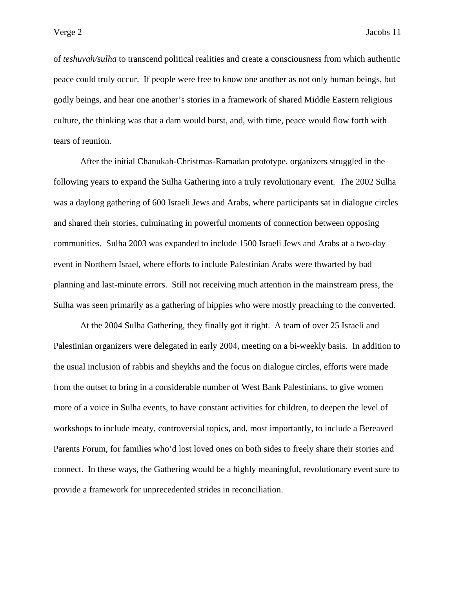of *teshuvah/sulha* to transcend political realities and create a consciousness from which authentic peace could truly occur. If people were free to know one another as not only human beings, but godly beings, and hear one another's stories in a framework of shared Middle Eastern religious culture, the thinking was that a dam would burst, and, with time, peace would flow forth with tears of reunion.

 After the initial Chanukah-Christmas-Ramadan prototype, organizers struggled in the following years to expand the Sulha Gathering into a truly revolutionary event. The 2002 Sulha was a daylong gathering of 600 Israeli Jews and Arabs, where participants sat in dialogue circles and shared their stories, culminating in powerful moments of connection between opposing communities. Sulha 2003 was expanded to include 1500 Israeli Jews and Arabs at a two-day event in Northern Israel, where efforts to include Palestinian Arabs were thwarted by bad planning and last-minute errors. Still not receiving much attention in the mainstream press, the Sulha was seen primarily as a gathering of hippies who were mostly preaching to the converted.

 At the 2004 Sulha Gathering, they finally got it right. A team of over 25 Israeli and Palestinian organizers were delegated in early 2004, meeting on a bi-weekly basis. In addition to the usual inclusion of rabbis and sheykhs and the focus on dialogue circles, efforts were made from the outset to bring in a considerable number of West Bank Palestinians, to give women more of a voice in Sulha events, to have constant activities for children, to deepen the level of workshops to include meaty, controversial topics, and, most importantly, to include a Bereaved Parents Forum, for families who'd lost loved ones on both sides to freely share their stories and connect. In these ways, the Gathering would be a highly meaningful, revolutionary event sure to provide a framework for unprecedented strides in reconciliation.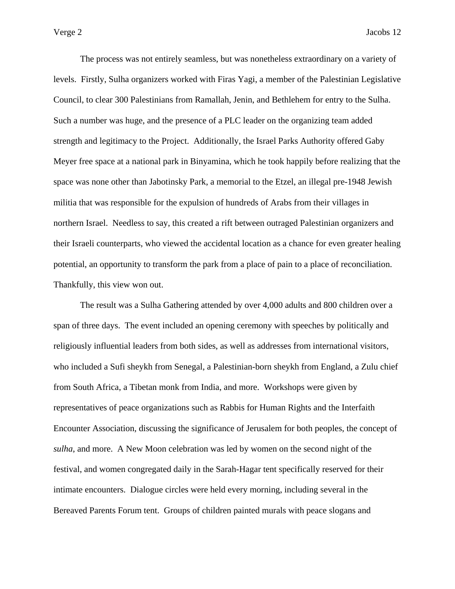The process was not entirely seamless, but was nonetheless extraordinary on a variety of levels. Firstly, Sulha organizers worked with Firas Yagi, a member of the Palestinian Legislative Council, to clear 300 Palestinians from Ramallah, Jenin, and Bethlehem for entry to the Sulha. Such a number was huge, and the presence of a PLC leader on the organizing team added strength and legitimacy to the Project. Additionally, the Israel Parks Authority offered Gaby Meyer free space at a national park in Binyamina, which he took happily before realizing that the space was none other than Jabotinsky Park, a memorial to the Etzel, an illegal pre-1948 Jewish militia that was responsible for the expulsion of hundreds of Arabs from their villages in northern Israel. Needless to say, this created a rift between outraged Palestinian organizers and their Israeli counterparts, who viewed the accidental location as a chance for even greater healing potential, an opportunity to transform the park from a place of pain to a place of reconciliation. Thankfully, this view won out.

 The result was a Sulha Gathering attended by over 4,000 adults and 800 children over a span of three days. The event included an opening ceremony with speeches by politically and religiously influential leaders from both sides, as well as addresses from international visitors, who included a Sufi sheykh from Senegal, a Palestinian-born sheykh from England, a Zulu chief from South Africa, a Tibetan monk from India, and more. Workshops were given by representatives of peace organizations such as Rabbis for Human Rights and the Interfaith Encounter Association, discussing the significance of Jerusalem for both peoples, the concept of *sulha*, and more. A New Moon celebration was led by women on the second night of the festival, and women congregated daily in the Sarah-Hagar tent specifically reserved for their intimate encounters. Dialogue circles were held every morning, including several in the Bereaved Parents Forum tent. Groups of children painted murals with peace slogans and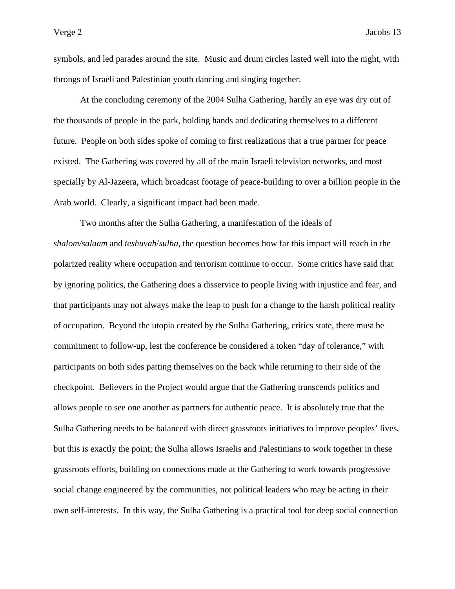symbols, and led parades around the site. Music and drum circles lasted well into the night, with throngs of Israeli and Palestinian youth dancing and singing together.

 At the concluding ceremony of the 2004 Sulha Gathering, hardly an eye was dry out of the thousands of people in the park, holding hands and dedicating themselves to a different future. People on both sides spoke of coming to first realizations that a true partner for peace existed. The Gathering was covered by all of the main Israeli television networks, and most specially by Al-Jazeera, which broadcast footage of peace-building to over a billion people in the Arab world. Clearly, a significant impact had been made.

 Two months after the Sulha Gathering, a manifestation of the ideals of *shalom/salaam* and *teshuvah*/*sulha*, the question becomes how far this impact will reach in the polarized reality where occupation and terrorism continue to occur. Some critics have said that by ignoring politics, the Gathering does a disservice to people living with injustice and fear, and that participants may not always make the leap to push for a change to the harsh political reality of occupation. Beyond the utopia created by the Sulha Gathering, critics state, there must be commitment to follow-up, lest the conference be considered a token "day of tolerance," with participants on both sides patting themselves on the back while returning to their side of the checkpoint. Believers in the Project would argue that the Gathering transcends politics and allows people to see one another as partners for authentic peace. It is absolutely true that the Sulha Gathering needs to be balanced with direct grassroots initiatives to improve peoples' lives, but this is exactly the point; the Sulha allows Israelis and Palestinians to work together in these grassroots efforts, building on connections made at the Gathering to work towards progressive social change engineered by the communities, not political leaders who may be acting in their own self-interests. In this way, the Sulha Gathering is a practical tool for deep social connection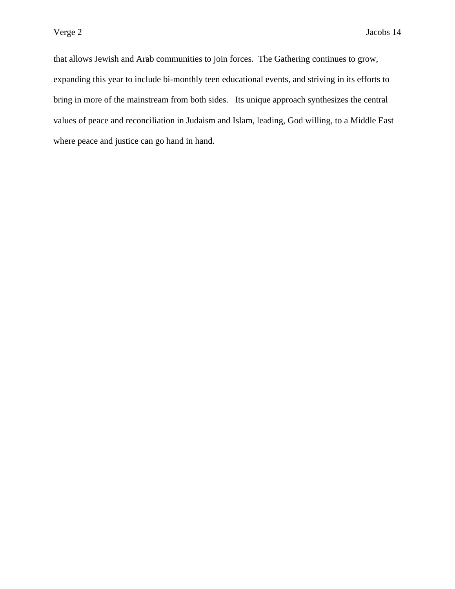that allows Jewish and Arab communities to join forces. The Gathering continues to grow, expanding this year to include bi-monthly teen educational events, and striving in its efforts to bring in more of the mainstream from both sides. Its unique approach synthesizes the central values of peace and reconciliation in Judaism and Islam, leading, God willing, to a Middle East where peace and justice can go hand in hand.